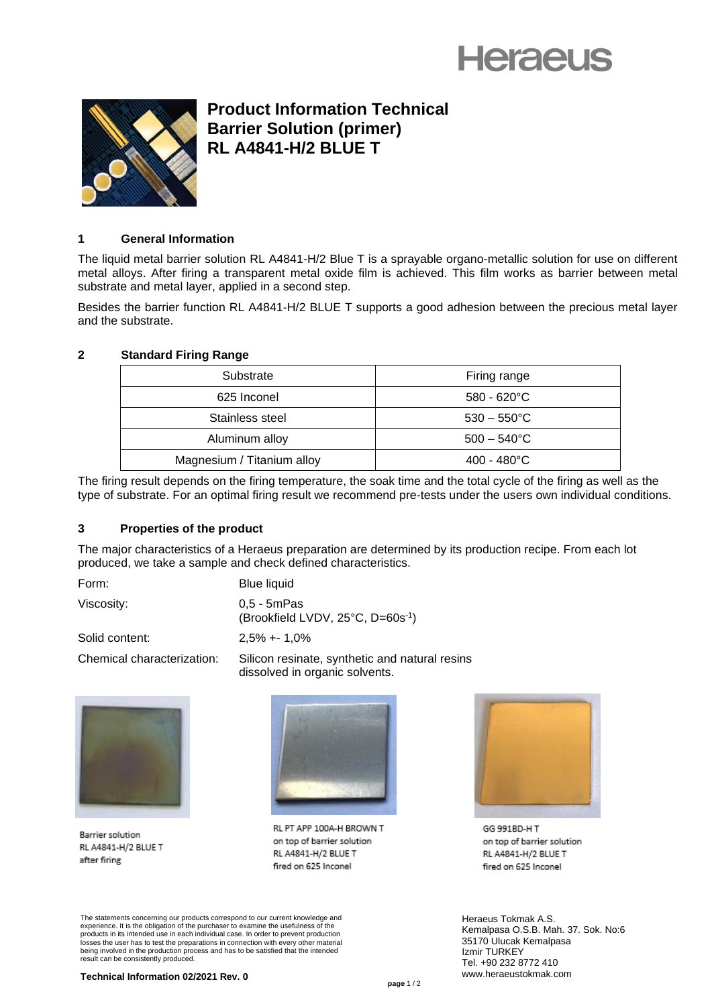# **Heraeus**



## **Product Information Technical Barrier Solution (primer) RL A4841-H/2 BLUE T**

### **1 General Information**

The liquid metal barrier solution RL A4841-H/2 Blue T is a sprayable organo-metallic solution for use on different metal alloys. After firing a transparent metal oxide film is achieved. This film works as barrier between metal substrate and metal layer, applied in a second step.

Besides the barrier function RL A4841-H/2 BLUE T supports a good adhesion between the precious metal layer and the substrate.

### **2 Standard Firing Range**

| Substrate                  | Firing range          |
|----------------------------|-----------------------|
| 625 Inconel                | $580 - 620^{\circ}$ C |
| Stainless steel            | $530 - 550^{\circ}$ C |
| Aluminum alloy             | $500 - 540^{\circ}$ C |
| Magnesium / Titanium alloy | $400 - 480^{\circ}$ C |

The firing result depends on the firing temperature, the soak time and the total cycle of the firing as well as the type of substrate. For an optimal firing result we recommend pre-tests under the users own individual conditions.

#### **3 Properties of the product**

The major characteristics of a Heraeus preparation are determined by its production recipe. From each lot produced, we take a sample and check defined characteristics.

Form: Blue liquid

Viscosity: 0,5 - 5mPas (Brookfield LVDV, 25°C, D=60s -1 )

Solid content: 2,5% +- 1,0%

Chemical characterization: Silicon resinate, synthetic and natural resins dissolved in organic solvents.



Barrier solution RL A4841-H/2 BLUE T after firing



RL PT APP 100A-H BROWN T on top of barrier solution RL A4841-H/2 BLUE T fired on 625 Inconel



GG 991BD-H T on top of barrier solution RL A4841-H/2 BLUE T fired on 625 Inconel

Heraeus Tokmak A.S. Kemalpasa O.S.B. Mah. 37. Sok. No:6 35170 Ulucak Kemalpasa Izmir TURKEY Tel. +90 232 8772 410 www.heraeustokmak.com

The statements concerning our products correspond to our current knowledge and experience. It is the obligation of the purchaser to examine the usefulness of the products in its intended use in each individual case. In order to prevent production losses the user has to test the preparations in connection with every other material being involved in the production process and has to be satisfied that the intended result can be consistently produced.